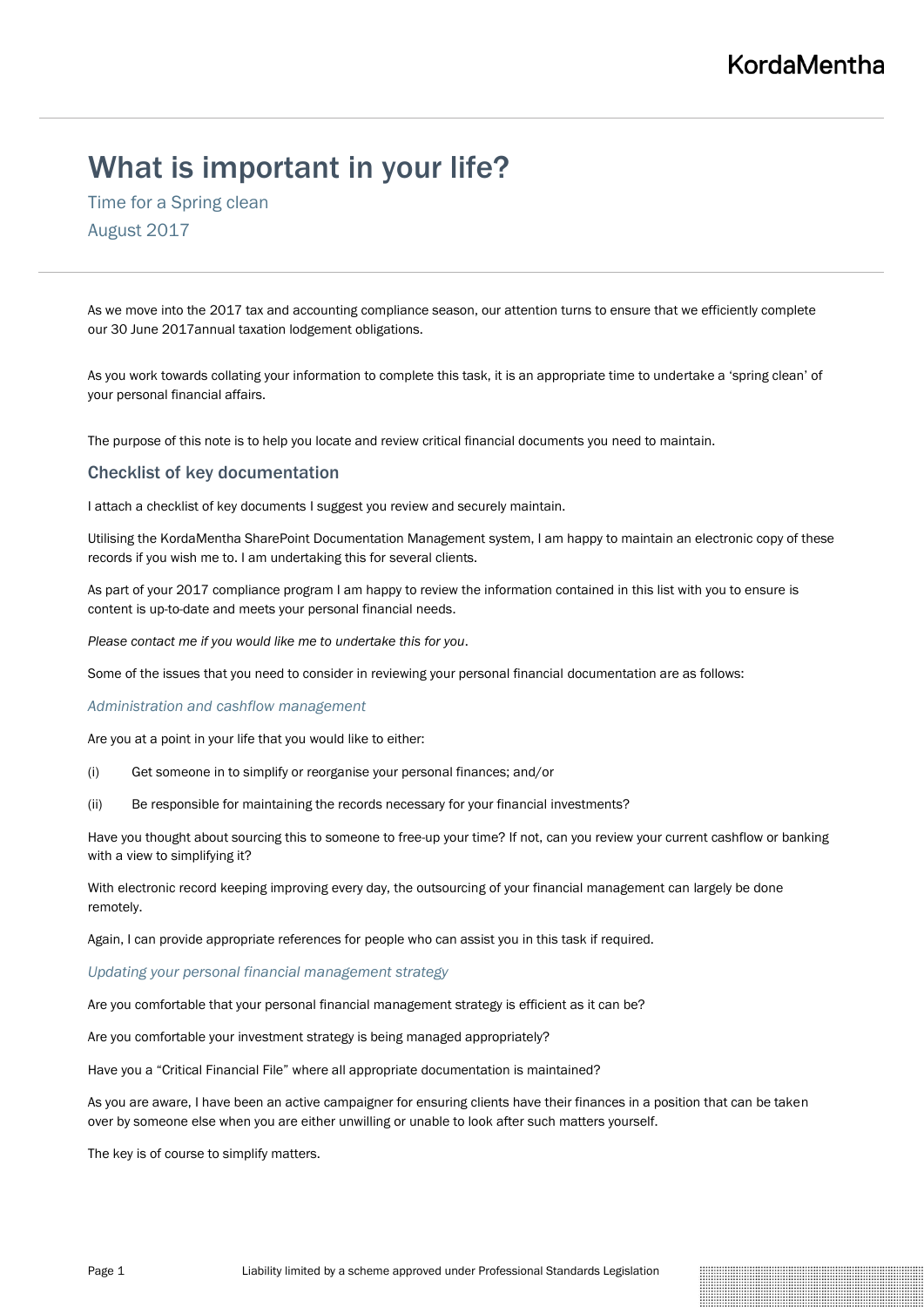# What is important in your life?

Time for a Spring clean August 2017

As we move into the 2017 tax and accounting compliance season, our attention turns to ensure that we efficiently complete our 30 June 2017annual taxation lodgement obligations.

As you work towards collating your information to complete this task, it is an appropriate time to undertake a 'spring clean' of your personal financial affairs.

The purpose of this note is to help you locate and review critical financial documents you need to maintain.

## Checklist of key documentation

I attach a checklist of key documents I suggest you review and securely maintain.

Utilising the KordaMentha SharePoint Documentation Management system, I am happy to maintain an electronic copy of these records if you wish me to. I am undertaking this for several clients.

As part of your 2017 compliance program I am happy to review the information contained in this list with you to ensure is content is up-to-date and meets your personal financial needs.

*Please contact me if you would like me to undertake this for you*.

Some of the issues that you need to consider in reviewing your personal financial documentation are as follows:

## *Administration and cashflow management*

Are you at a point in your life that you would like to either:

- (i) Get someone in to simplify or reorganise your personal finances; and/or
- (ii) Be responsible for maintaining the records necessary for your financial investments?

Have you thought about sourcing this to someone to free-up your time? If not, can you review your current cashflow or banking with a view to simplifying it?

With electronic record keeping improving every day, the outsourcing of your financial management can largely be done remotely.

Again, I can provide appropriate references for people who can assist you in this task if required.

### *Updating your personal financial management strategy*

Are you comfortable that your personal financial management strategy is efficient as it can be?

Are you comfortable your investment strategy is being managed appropriately?

Have you a "Critical Financial File" where all appropriate documentation is maintained?

As you are aware, I have been an active campaigner for ensuring clients have their finances in a position that can be taken over by someone else when you are either unwilling or unable to look after such matters yourself.

The key is of course to simplify matters.